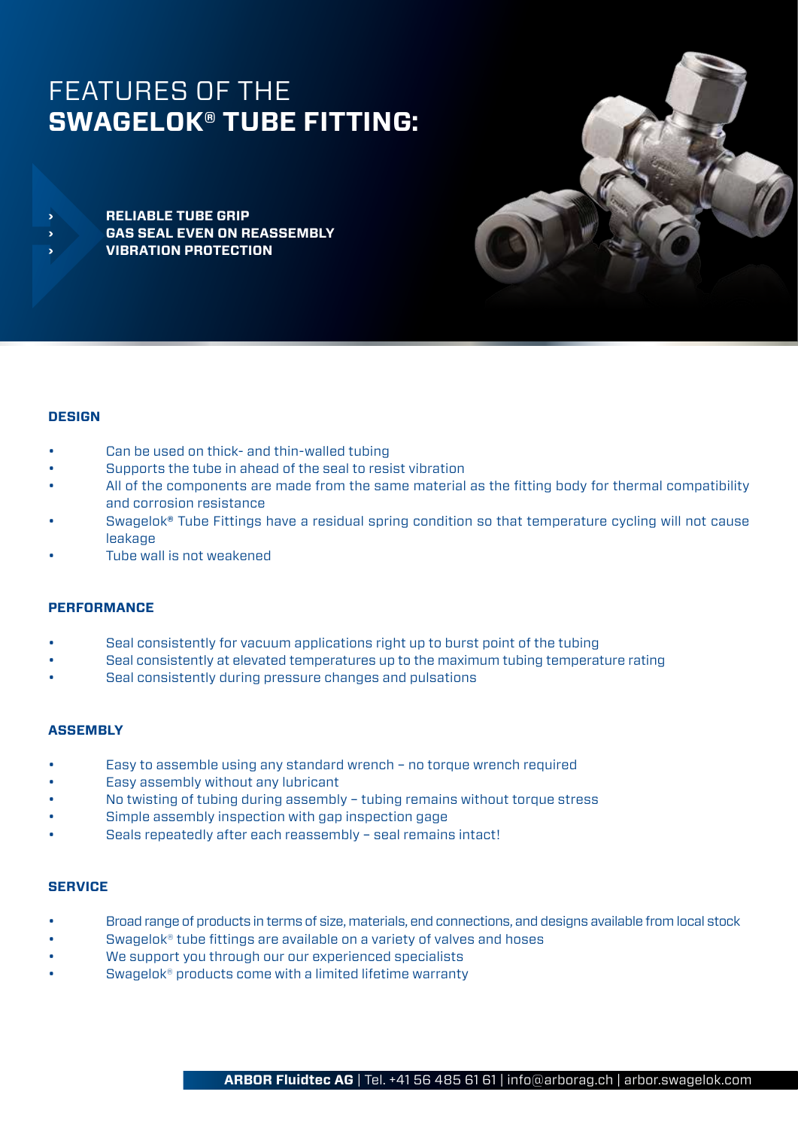# FEATURES OF THE **SWAGELOK® TUBE FITTING: › VIBRATION PROTECTION**

**› RELIABLE TUBE GRIP › GAS SEAL EVEN ON REASSEMBLY**



# **DESIGN**

- Can be used on thick- and thin-walled tubing
- Supports the tube in ahead of the seal to resist vibration
- All of the components are made from the same material as the fitting body for thermal compatibility and corrosion resistance
- Swagelok**®** Tube Fittings have a residual spring condition so that temperature cycling will not cause leakage
- Tube wall is not weakened

# **PERFORMANCE**

- Seal consistently for vacuum applications right up to burst point of the tubing
- Seal consistently at elevated temperatures up to the maximum tubing temperature rating
- Seal consistently during pressure changes and pulsations

# **ASSEMBLY**

- Easy to assemble using any standard wrench no torque wrench required
- Easy assembly without any lubricant
- No twisting of tubing during assembly tubing remains without torque stress
- Simple assembly inspection with gap inspection gage
- Seals repeatedly after each reassembly seal remains intact!

### **SERVICE**

- Broad range of products in terms of size, materials, end connections, and designs available from local stock
- Swagelok<sup>®</sup> tube fittings are available on a variety of valves and hoses
- We support you through our our experienced specialists
- Swagelok® products come with a limited lifetime warranty